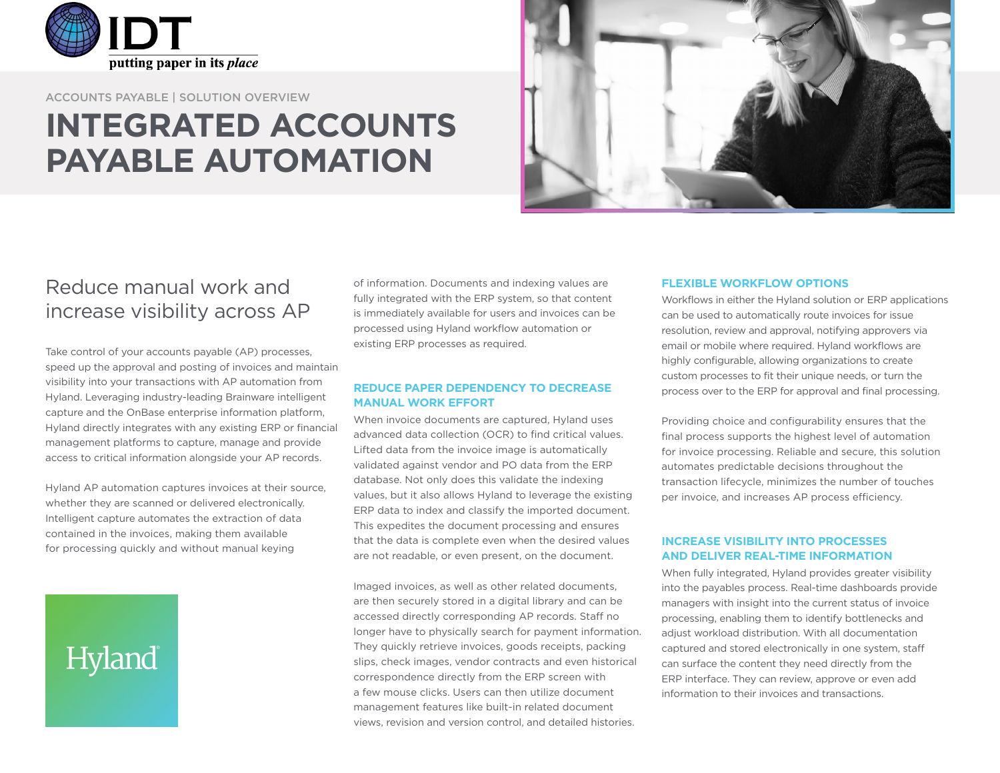

ACCOUNTS PAYABLE | SOLUTION OVERVIEW

## **INTEGRATED ACCOUNTS PAYABLE AUTOMATION**



### Reduce manual work and increase visibility across AP

Take control of your accounts payable (AP) processes, speed up the approval and posting of invoices and maintain visibility into your transactions with AP automation from Hyland. Leveraging industry-leading Brainware intelligent capture and the OnBase enterprise information platform, Hyland directly integrates with any existing ERP or financial management platforms to capture, manage and provide access to critical information alongside your AP records.

Hyland AP automation captures invoices at their source, whether they are scanned or delivered electronically. Intelligent capture automates the extraction of data contained in the invoices, making them available for processing quickly and without manual keying

# Hyland

of information. Documents and indexing values are fully integrated with the ERP system, so that content is immediately available for users and invoices can be processed using Hyland workflow automation or existing ERP processes as required.

#### **REDUCE PAPER DEPENDENCY TO DECREASE MANUAL WORK EFFORT**

When invoice documents are captured, Hyland uses advanced data collection (OCR) to find critical values. Lifted data from the invoice image is automatically validated against vendor and PO data from the ERP database. Not only does this validate the indexing values, but it also allows Hyland to leverage the existing ERP data to index and classify the imported document. This expedites the document processing and ensures that the data is complete even when the desired values are not readable, or even present, on the document.

Imaged invoices, as well as other related documents, are then securely stored in a digital library and can be accessed directly corresponding AP records. Staff no longer have to physically search for payment information. They quickly retrieve invoices, goods receipts, packing slips, check images, vendor contracts and even historical correspondence directly from the ERP screen with a few mouse clicks. Users can then utilize document management features like built-in related document views, revision and version control, and detailed histories.

#### **FLEXIBLE WORKFLOW OPTIONS**

Workflows in either the Hyland solution or ERP applications can be used to automatically route invoices for issue resolution, review and approval, notifying approvers via email or mobile where required. Hyland workflows are highly configurable, allowing organizations to create custom processes to fit their unique needs, or turn the process over to the ERP for approval and final processing.

Providing choice and configurability ensures that the final process supports the highest level of automation for invoice processing. Reliable and secure, this solution automates predictable decisions throughout the transaction lifecycle, minimizes the number of touches per invoice, and increases AP process efficiency.

#### **INCREASE VISIBILITY INTO PROCESSES AND DELIVER REAL-TIME INFORMATION**

When fully integrated, Hyland provides greater visibility into the payables process. Real-time dashboards provide managers with insight into the current status of invoice processing, enabling them to identify bottlenecks and adjust workload distribution. With all documentation captured and stored electronically in one system, staff can surface the content they need directly from the ERP interface. They can review, approve or even add information to their invoices and transactions.